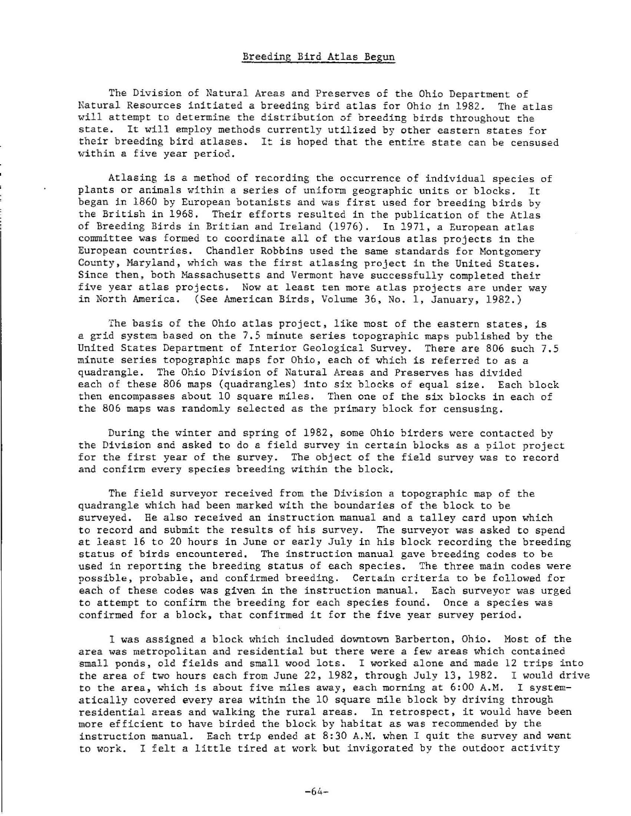## Breeding Bird Atlas Begun

The Division of Natural Areas and Preserves of the Ohio Department of Natural Resources initiated a breeding bird atlas for Ohio in 1982. The atlas will attempt to determine the distribution of breeding birds throughout the state. It will employ methods currently utilized by other eastern states for their breeding bird atlases. It is hoped that the entire state can be censused within a five year period.

Atlasing is a method of recording the occurrence of individual species of plants or animals within a series of uniform geographic units or blocks. It began in 1860 by European botanists and was first used for breeding birds by the British in 1968. Their efforts resulted in the publication of the Atlas of Breeding Birds in Britian and Ireland (1976). In 1971, a European atlas committee was formed to coordinate all of the various atlas projects in the European countries. Chandler Robbins used the same standards for Montgomery County, Maryland, which was the first atlasing project in the United States. Since then, both Massachusetts and Vermont have successfully completed their five year atlas projects. Now at least ten more atlas projects are under way in North America. (See American Birds, Volume 36, No. 1, January, 1982.)

The basis of the Ohio atlas project, like most of the eastern states, is a grid system based on the 7.5 minute series topographic maps published by the United States Department of Interior Geological Survey. There are 806 such 7.5 minute series topographic maps for Ohio, each of which is referred to as a quadrangle. The Ohio Division of Natural Areas and Preserves has divided each of these 806 maps (quadrangles) into six blocks of equal size. Each block then encompasses about 10 square miles. Then one of the six blocks in each of the 806 maps was randomly selected as the prinary block for censusing.

During the winter and spring of 1982, some Ohio birders were contacted by the Division and asked to do a field survey in certain blocks as a pilot project for the first year of the survey. The object of the field survey was to record and confirm every species breeding within the block.

The field surveyor received from the Division a topographic map of the quadrangle which had been marked with the boundaries of the block to be surveyed. He also received an instruction manual and a talley card upon which to record and submit the results of his survey. The surveyor was asked to spend at least 16 to 20 hours in June or early July in his block recording the breeding status of birds encountered. The instruction manual gave breeding codes to be used in reporting the breeding status of each species. The three main codes were possible, probable, and confirmed breeding. Certain criteria to be followed for each of these codes was given in the instruction manual. Each surveyor was urged to attempt to confirm the breeding for each species found. Once a species was confirmed for a block, that confirmed it for the five year survey period.

I was assigned a block which included downtown Barberton, Ohio. Most of the area was metropolitan and residential but there were a few areas which contained small ponds, old fields and small wood lots. I worked alone and made 12 trips into the area of two hours each from June 22, 1982, through July 13, 1982. I would drive to the area, which is about five miles away, each morning at 6:00 A.M. I systematically covered every area within the 10 square mile block by driving through residential areas and walking the rural areas. In retrospect, it would have been more efficient to have birded the block by habitat as was recommended by the instruction manual. Each trip ended at 8:30 A.M. when I quit the survey and went to work. I felt a little tired at work but invigorated by the outdoor activity